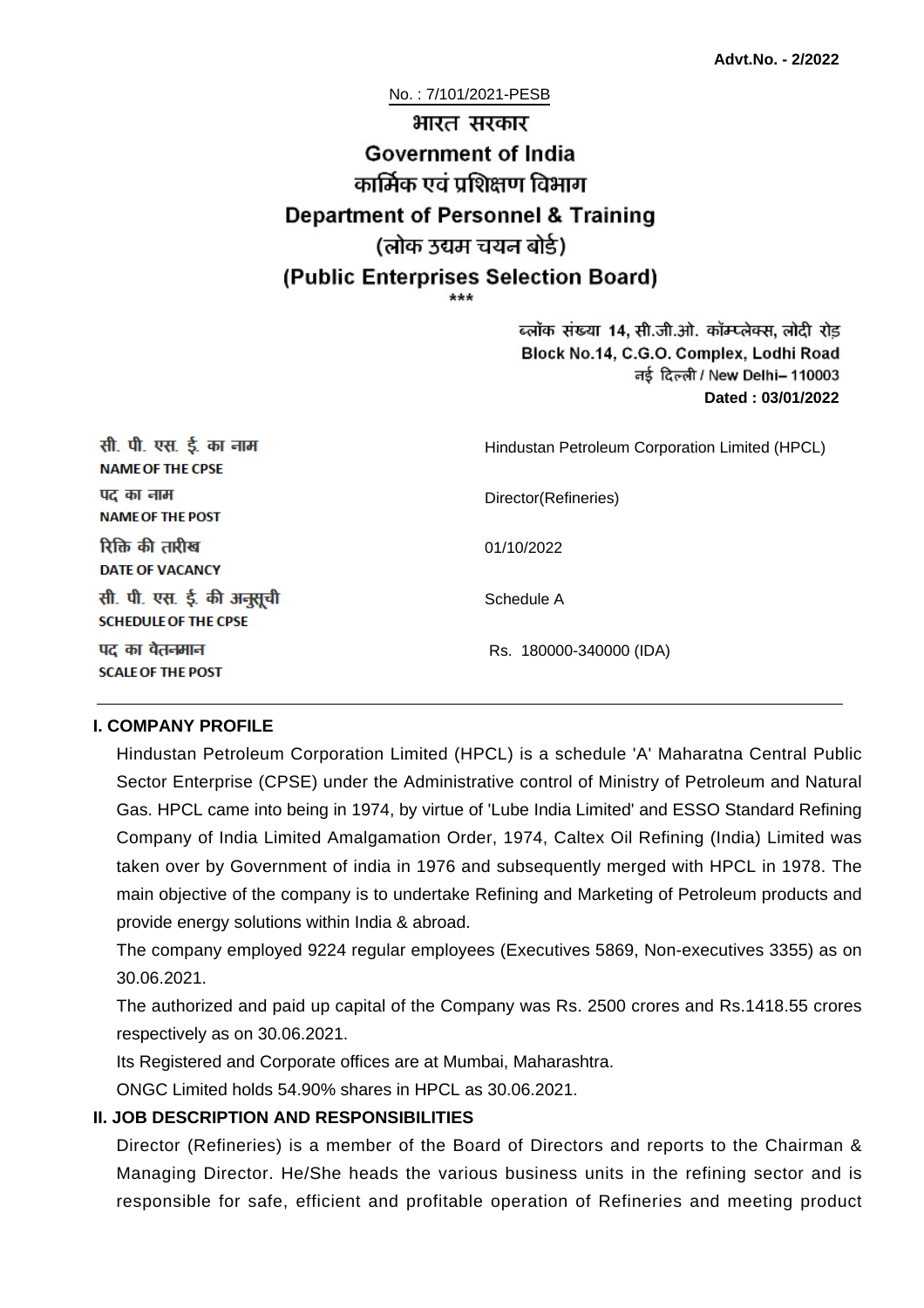No. : 7/101/2021-PESB

# भारत सरकार **Government of India** कार्मिक एवं पशिक्षण विभाग **Department of Personnel & Training** (लोक उद्यम चयन बोर्ड) (Public Enterprises Selection Board)

ब्लॉक संख्या 14, सी.जी.ओ. कॉम्प्लेक्स, लोदी रोड Block No.14, C.G.O. Complex, Lodhi Road ਰई दिल्ली / New Delhi– 110003 **Dated : 03/01/2022**

| सी. पी. एस. ई. का नाम<br><b>NAME OF THE CPSE</b>         | Hindustan Petroleum Corporation Limited (HPCL) |
|----------------------------------------------------------|------------------------------------------------|
| पद का नाम<br><b>NAME OF THE POST</b>                     | Director(Refineries)                           |
| रिक्ति की तारीख<br><b>DATE OF VACANCY</b>                | 01/10/2022                                     |
| सी. पी. एस. ई. की अनुसूची<br><b>SCHEDULE OF THE CPSE</b> | Schedule A                                     |
| पद का वेतनमान<br><b>SCALE OF THE POST</b>                | Rs. 180000-340000 (IDA)                        |

#### **I. COMPANY PROFILE**

Hindustan Petroleum Corporation Limited (HPCL) is a schedule 'A' Maharatna Central Public Sector Enterprise (CPSE) under the Administrative control of Ministry of Petroleum and Natural Gas. HPCL came into being in 1974, by virtue of 'Lube India Limited' and ESSO Standard Refining Company of India Limited Amalgamation Order, 1974, Caltex Oil Refining (India) Limited was taken over by Government of india in 1976 and subsequently merged with HPCL in 1978. The main objective of the company is to undertake Refining and Marketing of Petroleum products and provide energy solutions within India & abroad.

The company employed 9224 regular employees (Executives 5869, Non-executives 3355) as on 30.06.2021.

The authorized and paid up capital of the Company was Rs. 2500 crores and Rs.1418.55 crores respectively as on 30.06.2021.

Its Registered and Corporate offices are at Mumbai, Maharashtra.

ONGC Limited holds 54.90% shares in HPCL as 30.06.2021.

#### **II. JOB DESCRIPTION AND RESPONSIBILITIES**

Director (Refineries) is a member of the Board of Directors and reports to the Chairman & Managing Director. He/She heads the various business units in the refining sector and is responsible for safe, efficient and profitable operation of Refineries and meeting product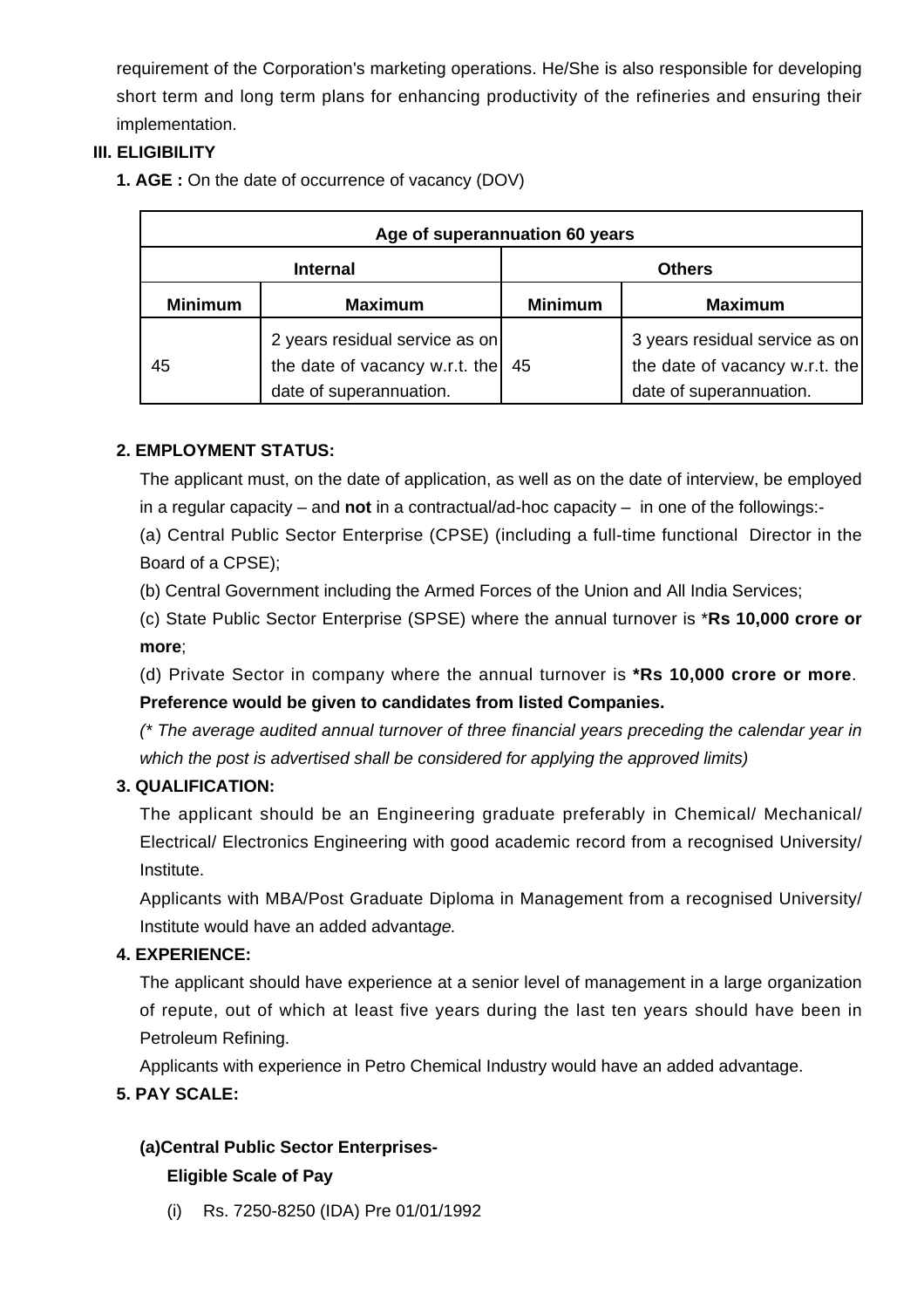requirement of the Corporation's marketing operations. He/She is also responsible for developing short term and long term plans for enhancing productivity of the refineries and ensuring their implementation.

# **III. ELIGIBILITY**

**1. AGE :** On the date of occurrence of vacancy (DOV)

| Age of superannuation 60 years |                                                                                             |                |                                                                                             |  |
|--------------------------------|---------------------------------------------------------------------------------------------|----------------|---------------------------------------------------------------------------------------------|--|
| <b>Internal</b>                |                                                                                             | <b>Others</b>  |                                                                                             |  |
| <b>Minimum</b>                 | <b>Maximum</b>                                                                              | <b>Minimum</b> | <b>Maximum</b>                                                                              |  |
| 45                             | 2 years residual service as on<br>the date of vacancy w.r.t. the<br>date of superannuation. | 45             | 3 years residual service as on<br>the date of vacancy w.r.t. the<br>date of superannuation. |  |

# **2. EMPLOYMENT STATUS:**

The applicant must, on the date of application, as well as on the date of interview, be employed in a regular capacity – and **not** in a contractual/ad-hoc capacity – in one of the followings:-

(a) Central Public Sector Enterprise (CPSE) (including a full-time functional Director in the Board of a CPSE);

(b) Central Government including the Armed Forces of the Union and All India Services;

(c) State Public Sector Enterprise (SPSE) where the annual turnover is \***Rs 10,000 crore or more**;

(d) Private Sector in company where the annual turnover is **\*Rs 10,000 crore or more**.

## **Preference would be given to candidates from listed Companies.**

(\* The average audited annual turnover of three financial years preceding the calendar year in which the post is advertised shall be considered for applying the approved limits)

## **3. QUALIFICATION:**

The applicant should be an Engineering graduate preferably in Chemical/ Mechanical/ Electrical/ Electronics Engineering with good academic record from a recognised University/ Institute.

Applicants with MBA/Post Graduate Diploma in Management from a recognised University/ Institute would have an added advantage.

## **4. EXPERIENCE:**

The applicant should have experience at a senior level of management in a large organization of repute, out of which at least five years during the last ten years should have been in Petroleum Refining.

Applicants with experience in Petro Chemical Industry would have an added advantage.

## **5. PAY SCALE:**

# **(a)Central Public Sector Enterprises-**

## **Eligible Scale of Pay**

(i) Rs. 7250-8250 (IDA) Pre 01/01/1992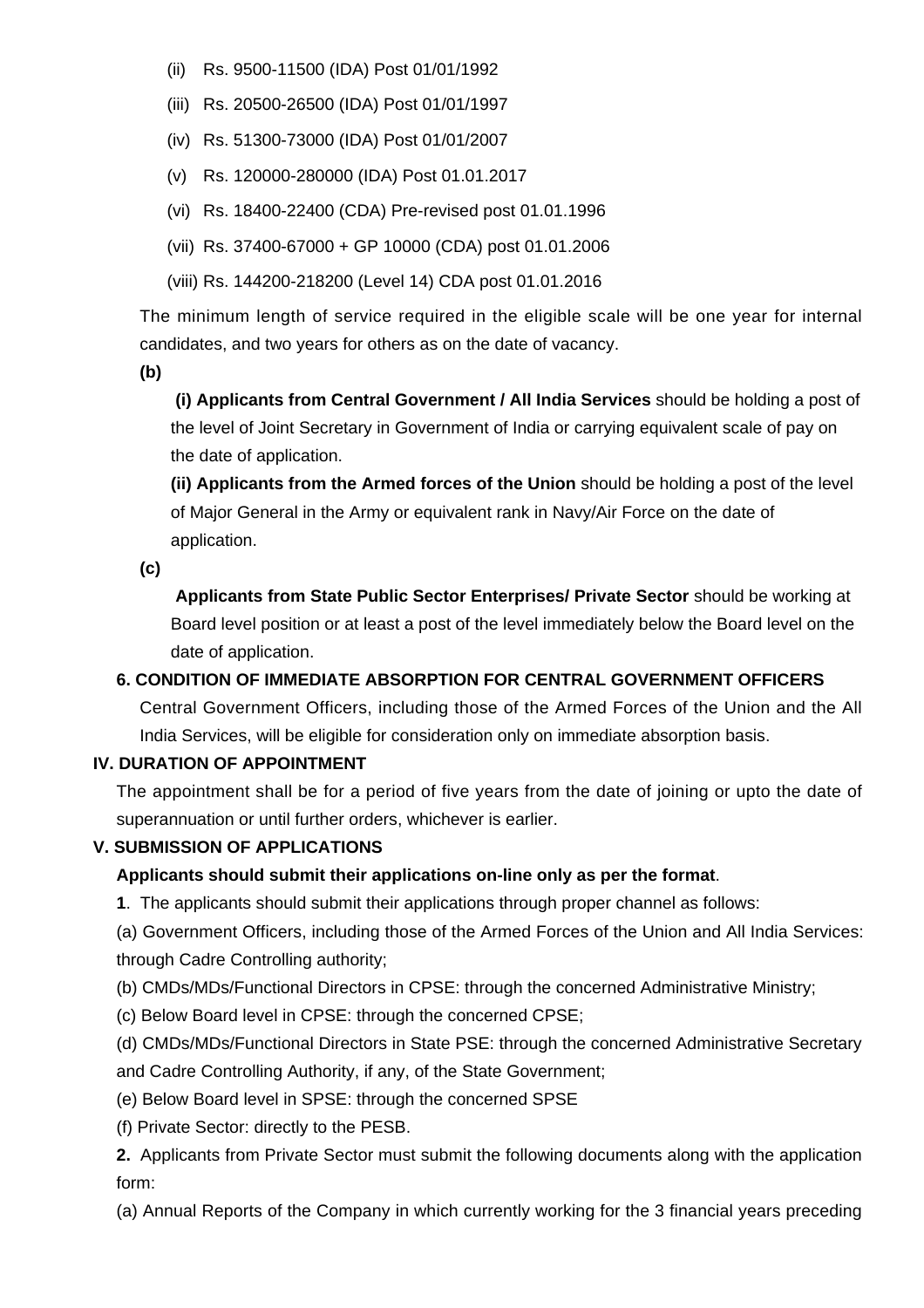- (ii) Rs. 9500-11500 (IDA) Post 01/01/1992
- (iii) Rs. 20500-26500 (IDA) Post 01/01/1997
- (iv) Rs. 51300-73000 (IDA) Post 01/01/2007
- (v) Rs. 120000-280000 (IDA) Post 01.01.2017
- (vi) Rs. 18400-22400 (CDA) Pre-revised post 01.01.1996
- (vii) Rs. 37400-67000 + GP 10000 (CDA) post 01.01.2006
- (viii) Rs. 144200-218200 (Level 14) CDA post 01.01.2016

The minimum length of service required in the eligible scale will be one year for internal candidates, and two years for others as on the date of vacancy.

**(b)**

**(i) Applicants from Central Government / All India Services** should be holding a post of the level of Joint Secretary in Government of India or carrying equivalent scale of pay on the date of application.

**(ii) Applicants from the Armed forces of the Union** should be holding a post of the level of Major General in the Army or equivalent rank in Navy/Air Force on the date of application.

**(c)**

 **Applicants from State Public Sector Enterprises/ Private Sector** should be working at Board level position or at least a post of the level immediately below the Board level on the date of application.

## **6. CONDITION OF IMMEDIATE ABSORPTION FOR CENTRAL GOVERNMENT OFFICERS**

Central Government Officers, including those of the Armed Forces of the Union and the All India Services, will be eligible for consideration only on immediate absorption basis.

## **IV. DURATION OF APPOINTMENT**

The appointment shall be for a period of five years from the date of joining or upto the date of superannuation or until further orders, whichever is earlier.

#### **V. SUBMISSION OF APPLICATIONS**

## **Applicants should submit their applications on-line only as per the format**.

**1**. The applicants should submit their applications through proper channel as follows:

(a) Government Officers, including those of the Armed Forces of the Union and All India Services: through Cadre Controlling authority;

- (b) CMDs/MDs/Functional Directors in CPSE: through the concerned Administrative Ministry;
- (c) Below Board level in CPSE: through the concerned CPSE;

(d) CMDs/MDs/Functional Directors in State PSE: through the concerned Administrative Secretary and Cadre Controlling Authority, if any, of the State Government;

(e) Below Board level in SPSE: through the concerned SPSE

(f) Private Sector: directly to the PESB.

**2.** Applicants from Private Sector must submit the following documents along with the application form:

(a) Annual Reports of the Company in which currently working for the 3 financial years preceding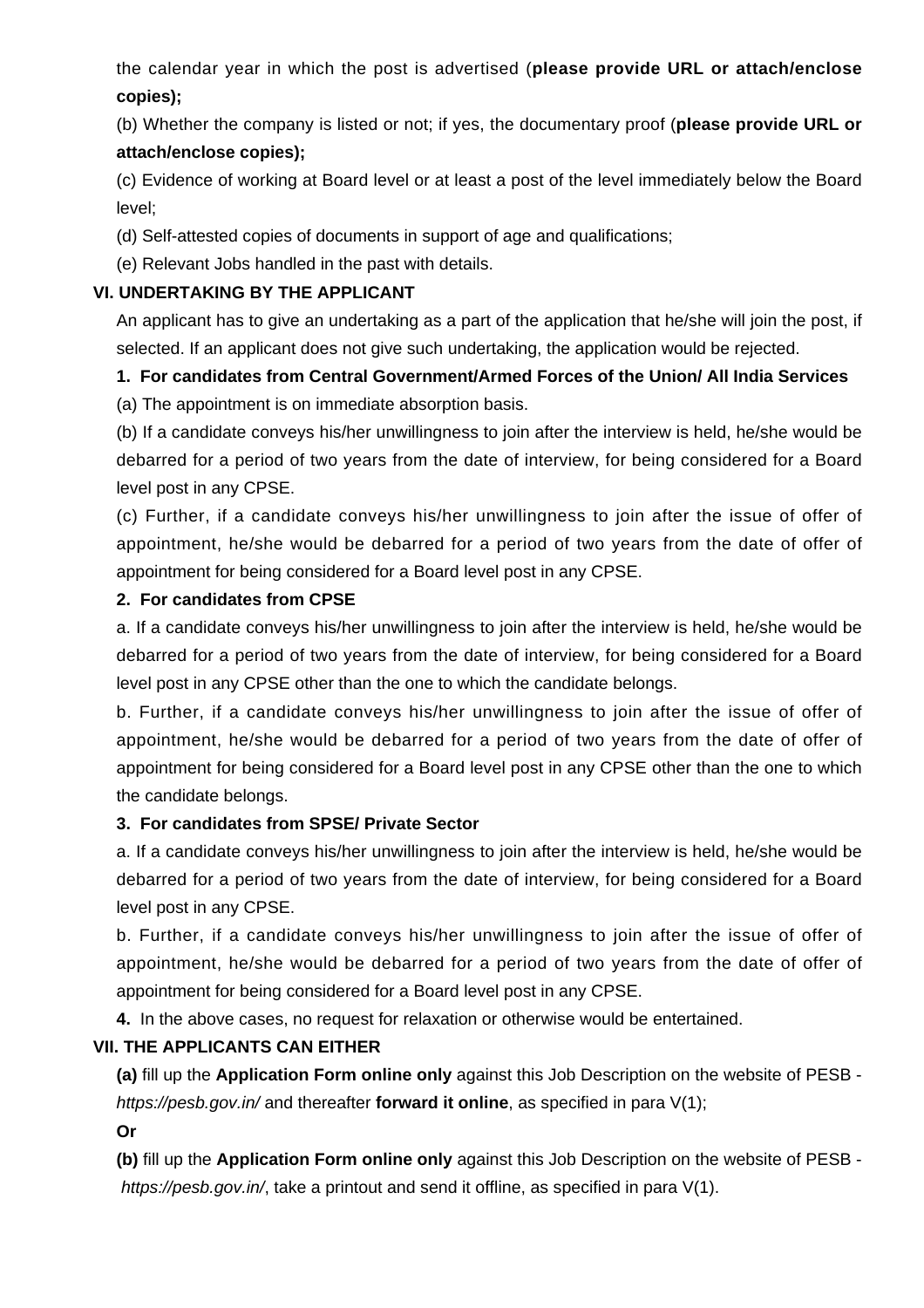the calendar year in which the post is advertised (**please provide URL or attach/enclose copies);**

(b) Whether the company is listed or not; if yes, the documentary proof (**please provide URL or attach/enclose copies);**

(c) Evidence of working at Board level or at least a post of the level immediately below the Board level;

(d) Self-attested copies of documents in support of age and qualifications;

(e) Relevant Jobs handled in the past with details.

#### **VI. UNDERTAKING BY THE APPLICANT**

An applicant has to give an undertaking as a part of the application that he/she will join the post, if selected. If an applicant does not give such undertaking, the application would be rejected.

## **1. For candidates from Central Government/Armed Forces of the Union/ All India Services**

(a) The appointment is on immediate absorption basis.

(b) If a candidate conveys his/her unwillingness to join after the interview is held, he/she would be debarred for a period of two years from the date of interview, for being considered for a Board level post in any CPSE.

(c) Further, if a candidate conveys his/her unwillingness to join after the issue of offer of appointment, he/she would be debarred for a period of two years from the date of offer of appointment for being considered for a Board level post in any CPSE.

#### **2. For candidates from CPSE**

a. If a candidate conveys his/her unwillingness to join after the interview is held, he/she would be debarred for a period of two years from the date of interview, for being considered for a Board level post in any CPSE other than the one to which the candidate belongs.

b. Further, if a candidate conveys his/her unwillingness to join after the issue of offer of appointment, he/she would be debarred for a period of two years from the date of offer of appointment for being considered for a Board level post in any CPSE other than the one to which the candidate belongs.

#### **3. For candidates from SPSE/ Private Sector**

a. If a candidate conveys his/her unwillingness to join after the interview is held, he/she would be debarred for a period of two years from the date of interview, for being considered for a Board level post in any CPSE.

b. Further, if a candidate conveys his/her unwillingness to join after the issue of offer of appointment, he/she would be debarred for a period of two years from the date of offer of appointment for being considered for a Board level post in any CPSE.

**4.** In the above cases, no request for relaxation or otherwise would be entertained.

## **VII. THE APPLICANTS CAN EITHER**

**(a)** fill up the **Application Form online only** against this Job Description on the website of PESB https://pesb.gov.in/ and thereafter **forward it online**, as specified in para V(1);

**Or**

**(b)** fill up the **Application Form online only** against this Job Description on the website of PESB https://pesb.gov.in/, take a printout and send it offline, as specified in para V(1).